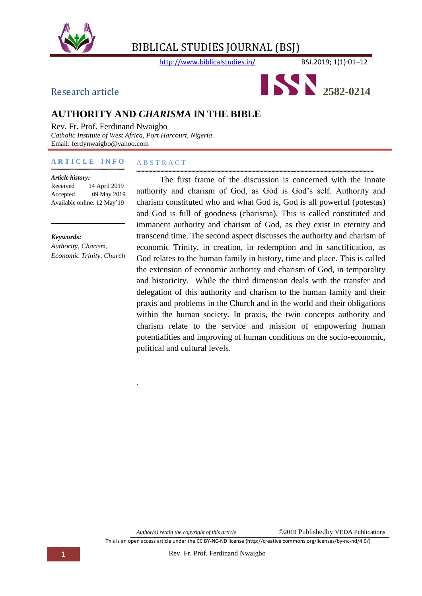

http://www.biblicalstudies.in/ BSJ.2019; 1(1):01-12



#### **AUTHORITY AND** *CHARISMA* **IN THE BIBLE**

Rev. Fr. Prof. Ferdinand Nwaigbo *Catholic Institute of West Africa, Port Harcourt, Nigeria.* Email: ferdynwaigbo@yahoo.com

*.*

#### **A R T I C L E I N F O** A B S T R A C T

#### *Article history:*

Received 14 April 2019 Accepted 09 May 2019 Available online: 12 May"19

*Keywords: Authority, Charism, Economic Trinity, Church*

 The first frame of the discussion is concerned with the innate authority and charism of God, as God is God"s self. Authority and charism constituted who and what God is, God is all powerful (potestas) and God is full of goodness (charisma). This is called constituted and immanent authority and charism of God, as they exist in eternity and transcend time. The second aspect discusses the authority and charism of economic Trinity, in creation, in redemption and in sanctification, as God relates to the human family in history, time and place. This is called the extension of economic authority and charism of God, in temporality and historicity. While the third dimension deals with the transfer and delegation of this authority and charism to the human family and their praxis and problems in the Church and in the world and their obligations within the human society. In praxis, the twin concepts authority and charism relate to the service and mission of empowering human potentialities and improving of human conditions on the socio-economic, political and cultural levels.

This is an open access article under the CC BY-NC-ND license (http://creative commons.org/licenses/by-nc-nd/4.0/)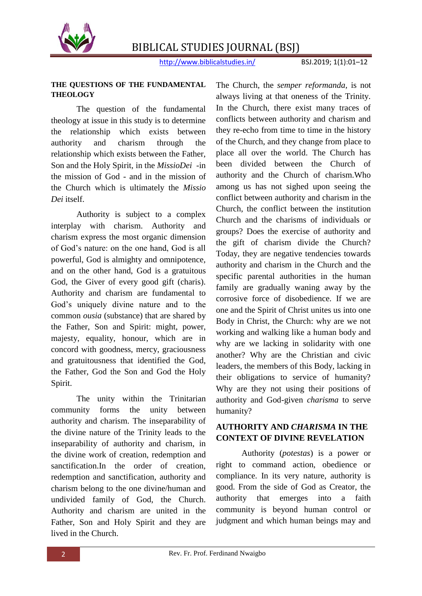

http://www.biblicalstudies.in/ BSJ.2019; 1(1):01-12

#### **THE QUESTIONS OF THE FUNDAMENTAL THEOLOGY**

The question of the fundamental theology at issue in this study is to determine the relationship which exists between authority and charism through the relationship which exists between the Father, Son and the Holy Spirit, in the *MissioDei* -in the mission of God - and in the mission of the Church which is ultimately the *Missio Dei* itself.

Authority is subject to a complex interplay with charism. Authority and charism express the most organic dimension of God"s nature: on the one hand, God is all powerful, God is almighty and omnipotence, and on the other hand, God is a gratuitous God, the Giver of every good gift (charis). Authority and charism are fundamental to God"s uniquely divine nature and to the common *ousia* (substance) that are shared by the Father, Son and Spirit: might, power, majesty, equality, honour, which are in concord with goodness, mercy, graciousness and gratuitousness that identified the God, the Father, God the Son and God the Holy Spirit.

The unity within the Trinitarian community forms the unity between authority and charism. The inseparability of the divine nature of the Trinity leads to the inseparability of authority and charism, in the divine work of creation, redemption and sanctification.In the order of creation, redemption and sanctification, authority and charism belong to the one divine/human and undivided family of God, the Church. Authority and charism are united in the Father, Son and Holy Spirit and they are lived in the Church.

The Church, the *semper reformanda,* is not always living at that oneness of the Trinity. In the Church, there exist many traces of conflicts between authority and charism and they re-echo from time to time in the history of the Church, and they change from place to place all over the world. The Church has been divided between the Church of authority and the Church of charism.Who among us has not sighed upon seeing the conflict between authority and charism in the Church, the conflict between the institution Church and the charisms of individuals or groups? Does the exercise of authority and the gift of charism divide the Church? Today, they are negative tendencies towards authority and charism in the Church and the specific parental authorities in the human family are gradually waning away by the corrosive force of disobedience. If we are one and the Spirit of Christ unites us into one Body in Christ, the Church: why are we not working and walking like a human body and why are we lacking in solidarity with one another? Why are the Christian and civic leaders, the members of this Body, lacking in their obligations to service of humanity? Why are they not using their positions of authority and God-given *charisma* to serve humanity?

#### **AUTHORITY AND** *CHARISMA* **IN THE CONTEXT OF DIVINE REVELATION**

Authority (*potestas*) is a power or right to command action, obedience or compliance. In its very nature, authority is good. From the side of God as Creator, the authority that emerges into a faith community is beyond human control or judgment and which human beings may and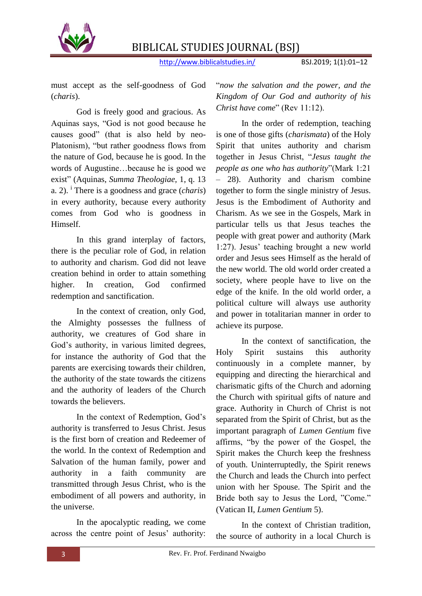

http://www.biblicalstudies.in/ BSJ.2019; 1(1):01-12

must accept as the self-goodness of God (*charis*).

God is freely good and gracious. As Aquinas says, "God is not good because he causes good" (that is also held by neo-Platonism), "but rather goodness flows from the nature of God, because he is good. In the words of Augustine…because he is good we exist" (Aquinas, *Summa Theologiae,* 1, q. 13 a. 2). <sup>i</sup> There is a goodness and grace (*charis*) in every authority, because every authority comes from God who is goodness in Himself.

In this grand interplay of factors, there is the peculiar role of God, in relation to authority and charism. God did not leave creation behind in order to attain something higher. In creation, God confirmed redemption and sanctification.

In the context of creation, only God, the Almighty possesses the fullness of authority, we creatures of God share in God's authority, in various limited degrees, for instance the authority of God that the parents are exercising towards their children, the authority of the state towards the citizens and the authority of leaders of the Church towards the believers.

In the context of Redemption, God"s authority is transferred to Jesus Christ. Jesus is the first born of creation and Redeemer of the world. In the context of Redemption and Salvation of the human family, power and authority in a faith community are transmitted through Jesus Christ, who is the embodiment of all powers and authority, in the universe.

In the apocalyptic reading, we come across the centre point of Jesus' authority:

"*now the salvation and the power, and the Kingdom of Our God and authority of his Christ have come*" (Rev 11:12).

In the order of redemption, teaching is one of those gifts (*charismata*) of the Holy Spirit that unites authority and charism together in Jesus Christ, "*Jesus taught the people as one who has authority*"(Mark 1:21 – 28). Authority and charism combine together to form the single ministry of Jesus. Jesus is the Embodiment of Authority and Charism. As we see in the Gospels, Mark in particular tells us that Jesus teaches the people with great power and authority (Mark 1:27). Jesus" teaching brought a new world order and Jesus sees Himself as the herald of the new world. The old world order created a society, where people have to live on the edge of the knife. In the old world order, a political culture will always use authority and power in totalitarian manner in order to achieve its purpose.

In the context of sanctification, the Holy Spirit sustains this authority continuously in a complete manner, by equipping and directing the hierarchical and charismatic gifts of the Church and adorning the Church with spiritual gifts of nature and grace. Authority in Church of Christ is not separated from the Spirit of Christ, but as the important paragraph of *Lumen Gentium* five affirms, "by the power of the Gospel, the Spirit makes the Church keep the freshness of youth. Uninterruptedly, the Spirit renews the Church and leads the Church into perfect union with her Spouse. The Spirit and the Bride both say to Jesus the Lord, "Come." (Vatican II, *Lumen Gentium* 5).

In the context of Christian tradition, the source of authority in a local Church is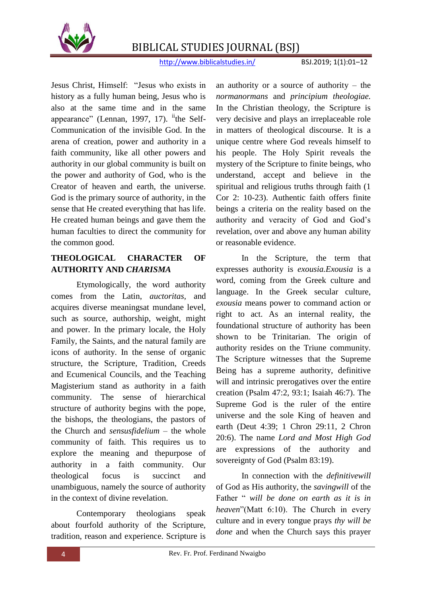

http://www.biblicalstudies.in/ BSJ.2019; 1(1):01-12

Jesus Christ, Himself: "Jesus who exists in history as a fully human being, Jesus who is also at the same time and in the same appearance" (Lennan, 1997, 17).  $i$ <sup>th</sup> the Self-Communication of the invisible God. In the arena of creation, power and authority in a faith community, like all other powers and authority in our global community is built on the power and authority of God, who is the Creator of heaven and earth, the universe. God is the primary source of authority, in the sense that He created everything that has life. He created human beings and gave them the human faculties to direct the community for the common good.

#### **THEOLOGICAL CHARACTER OF AUTHORITY AND** *CHARISMA*

Etymologically, the word authority comes from the Latin, *auctoritas,* and acquires diverse meaningsat mundane level, such as source, authorship, weight, might and power. In the primary locale, the Holy Family, the Saints, and the natural family are icons of authority. In the sense of organic structure, the Scripture, Tradition, Creeds and Ecumenical Councils, and the Teaching Magisterium stand as authority in a faith community. The sense of hierarchical structure of authority begins with the pope, the bishops, the theologians, the pastors of the Church and *sensusfidelium* – the whole community of faith. This requires us to explore the meaning and thepurpose of authority in a faith community. Our theological focus is succinct and unambiguous, namely the source of authority in the context of divine revelation.

Contemporary theologians speak about fourfold authority of the Scripture, tradition, reason and experience. Scripture is

an authority or a source of authority – the *normanormans* and *principium theologiae.* In the Christian theology, the Scripture is very decisive and plays an irreplaceable role in matters of theological discourse. It is a unique centre where God reveals himself to his people. The Holy Spirit reveals the mystery of the Scripture to finite beings, who understand, accept and believe in the spiritual and religious truths through faith (1 Cor 2: 10-23). Authentic faith offers finite beings a criteria on the reality based on the authority and veracity of God and God"s revelation, over and above any human ability or reasonable evidence.

In the Scripture, the term that expresses authority is *exousia.Exousia* is a word, coming from the Greek culture and language. In the Greek secular culture, *exousia* means power to command action or right to act. As an internal reality, the foundational structure of authority has been shown to be Trinitarian. The origin of authority resides on the Triune community. The Scripture witnesses that the Supreme Being has a supreme authority, definitive will and intrinsic prerogatives over the entire creation (Psalm 47:2, 93:1; Isaiah 46:7). The Supreme God is the ruler of the entire universe and the sole King of heaven and earth (Deut 4:39; 1 Chron 29:11, 2 Chron 20:6). The name *Lord and Most High God* are expressions of the authority and sovereignty of God (Psalm 83:19).

In connection with the *definitivewill* of God as His authority, the *savingwill* of the Father " *will be done on earth as it is in heaven*"(Matt 6:10). The Church in every culture and in every tongue prays *thy will be done* and when the Church says this prayer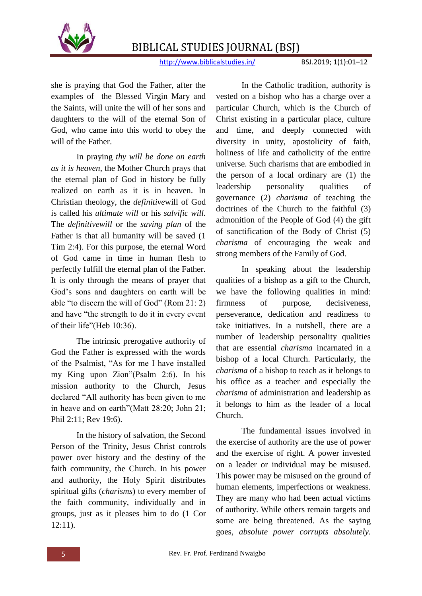

http://www.biblicalstudies.in/ BSJ.2019; 1(1):01-12

she is praying that God the Father, after the examples of the Blessed Virgin Mary and the Saints, will unite the will of her sons and daughters to the will of the eternal Son of God, who came into this world to obey the will of the Father.

In praying *thy will be done on earth as it is heaven*, the Mother Church prays that the eternal plan of God in history be fully realized on earth as it is in heaven. In Christian theology, the *definitive*will of God is called his *ultimate will* or his *salvific will.* The *definitivewill* or the *saving plan* of the Father is that all humanity will be saved (1 Tim 2:4). For this purpose, the eternal Word of God came in time in human flesh to perfectly fulfill the eternal plan of the Father. It is only through the means of prayer that God"s sons and daughters on earth will be able "to discern the will of God" (Rom 21: 2) and have "the strength to do it in every event of their life"(Heb 10:36).

The intrinsic prerogative authority of God the Father is expressed with the words of the Psalmist, "As for me I have installed my King upon Zion"(Psalm 2:6). In his mission authority to the Church, Jesus declared "All authority has been given to me in heave and on earth"(Matt 28:20; John 21; Phil 2:11; Rev 19:6).

In the history of salvation, the Second Person of the Trinity, Jesus Christ controls power over history and the destiny of the faith community, the Church. In his power and authority, the Holy Spirit distributes spiritual gifts (*charisms*) to every member of the faith community, individually and in groups, just as it pleases him to do (1 Cor 12:11).

In the Catholic tradition, authority is vested on a bishop who has a charge over a particular Church, which is the Church of Christ existing in a particular place, culture and time, and deeply connected with diversity in unity, apostolicity of faith, holiness of life and catholicity of the entire universe. Such charisms that are embodied in the person of a local ordinary are (1) the leadership personality qualities of governance (2) *charisma* of teaching the doctrines of the Church to the faithful (3) admonition of the People of God (4) the gift of sanctification of the Body of Christ (5) *charisma* of encouraging the weak and strong members of the Family of God.

In speaking about the leadership qualities of a bishop as a gift to the Church, we have the following qualities in mind: firmness of purpose, decisiveness, perseverance, dedication and readiness to take initiatives. In a nutshell, there are a number of leadership personality qualities that are essential *charisma* incarnated in a bishop of a local Church. Particularly, the *charisma* of a bishop to teach as it belongs to his office as a teacher and especially the *charisma* of administration and leadership as it belongs to him as the leader of a local Church.

The fundamental issues involved in the exercise of authority are the use of power and the exercise of right. A power invested on a leader or individual may be misused. This power may be misused on the ground of human elements, imperfections or weakness. They are many who had been actual victims of authority. While others remain targets and some are being threatened. As the saying goes, *absolute power corrupts absolutely.*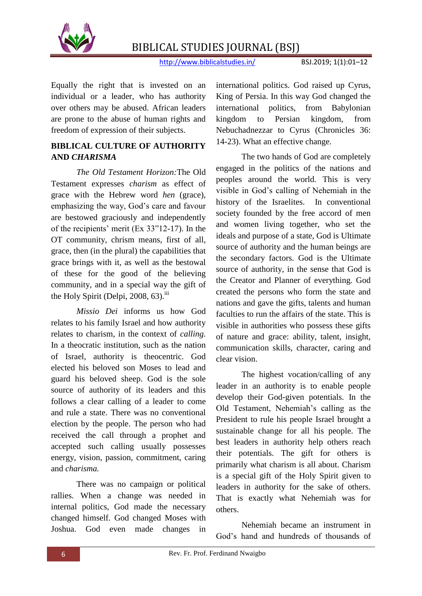

http://www.biblicalstudies.in/ BSJ.2019; 1(1):01-12

Equally the right that is invested on an individual or a leader, who has authority over others may be abused. African leaders are prone to the abuse of human rights and freedom of expression of their subjects.

#### **BIBLICAL CULTURE OF AUTHORITY AND** *CHARISMA*

*The Old Testament Horizon:*The Old Testament expresses *charism* as effect of grace with the Hebrew word *hen* (grace), emphasizing the way, God's care and favour are bestowed graciously and independently of the recipients" merit (Ex 33"12-17). In the OT community, chrism means, first of all, grace, then (in the plural) the capabilities that grace brings with it, as well as the bestowal of these for the good of the believing community, and in a special way the gift of the Holy Spirit (Delpi, 2008, 63).<sup>iii</sup>

*Missio Dei* informs us how God relates to his family Israel and how authority relates to charism, in the context of *calling.* In a theocratic institution, such as the nation of Israel, authority is theocentric. God elected his beloved son Moses to lead and guard his beloved sheep. God is the sole source of authority of its leaders and this follows a clear calling of a leader to come and rule a state. There was no conventional election by the people. The person who had received the call through a prophet and accepted such calling usually possesses energy, vision, passion, commitment, caring and *charisma.*

There was no campaign or political rallies. When a change was needed in internal politics, God made the necessary changed himself. God changed Moses with Joshua. God even made changes in

international politics. God raised up Cyrus, King of Persia. In this way God changed the international politics, from Babylonian kingdom to Persian kingdom, from Nebuchadnezzar to Cyrus (Chronicles 36: 14-23). What an effective change.

The two hands of God are completely engaged in the politics of the nations and peoples around the world. This is very visible in God"s calling of Nehemiah in the history of the Israelites. In conventional society founded by the free accord of men and women living together, who set the ideals and purpose of a state, God is Ultimate source of authority and the human beings are the secondary factors. God is the Ultimate source of authority, in the sense that God is the Creator and Planner of everything. God created the persons who form the state and nations and gave the gifts, talents and human faculties to run the affairs of the state. This is visible in authorities who possess these gifts of nature and grace: ability, talent, insight, communication skills, character, caring and clear vision.

The highest vocation/calling of any leader in an authority is to enable people develop their God-given potentials. In the Old Testament, Nehemiah"s calling as the President to rule his people Israel brought a sustainable change for all his people. The best leaders in authority help others reach their potentials. The gift for others is primarily what charism is all about. Charism is a special gift of the Holy Spirit given to leaders in authority for the sake of others. That is exactly what Nehemiah was for others.

Nehemiah became an instrument in God"s hand and hundreds of thousands of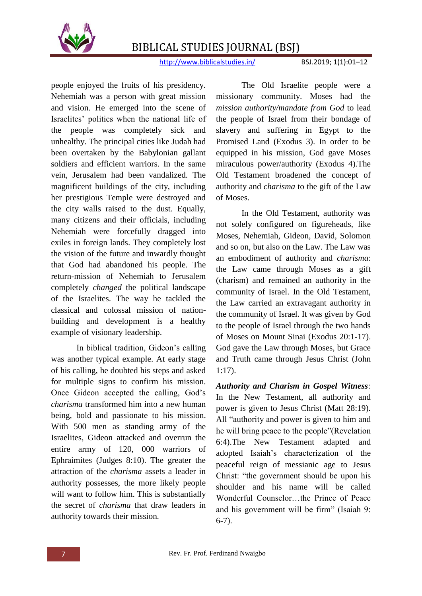

http://www.biblicalstudies.in/ BSJ.2019; 1(1):01-12

people enjoyed the fruits of his presidency. Nehemiah was a person with great mission and vision. He emerged into the scene of Israelites" politics when the national life of the people was completely sick and unhealthy. The principal cities like Judah had been overtaken by the Babylonian gallant soldiers and efficient warriors. In the same vein, Jerusalem had been vandalized. The magnificent buildings of the city, including her prestigious Temple were destroyed and the city walls raised to the dust. Equally, many citizens and their officials, including Nehemiah were forcefully dragged into exiles in foreign lands. They completely lost the vision of the future and inwardly thought that God had abandoned his people. The return-mission of Nehemiah to Jerusalem completely *changed* the political landscape of the Israelites. The way he tackled the classical and colossal mission of nationbuilding and development is a healthy example of visionary leadership.

In biblical tradition, Gideon"s calling was another typical example. At early stage of his calling, he doubted his steps and asked for multiple signs to confirm his mission. Once Gideon accepted the calling, God's *charisma* transformed him into a new human being, bold and passionate to his mission. With 500 men as standing army of the Israelites, Gideon attacked and overrun the entire army of 120, 000 warriors of Ephraimites (Judges 8:10). The greater the attraction of the *charisma* assets a leader in authority possesses, the more likely people will want to follow him. This is substantially the secret of *charisma* that draw leaders in authority towards their mission*.*

The Old Israelite people were a missionary community. Moses had the *mission authority/mandate from God* to lead the people of Israel from their bondage of slavery and suffering in Egypt to the Promised Land (Exodus 3). In order to be equipped in his mission, God gave Moses miraculous power/authority (Exodus 4).The Old Testament broadened the concept of authority and *charisma* to the gift of the Law of Moses.

In the Old Testament, authority was not solely configured on figureheads, like Moses, Nehemiah, Gideon, David, Solomon and so on, but also on the Law. The Law was an embodiment of authority and *charisma*: the Law came through Moses as a gift (charism) and remained an authority in the community of Israel. In the Old Testament, the Law carried an extravagant authority in the community of Israel. It was given by God to the people of Israel through the two hands of Moses on Mount Sinai (Exodus 20:1-17). God gave the Law through Moses, but Grace and Truth came through Jesus Christ (John 1:17).

*Authority and Charism in Gospel Witness:* In the New Testament, all authority and power is given to Jesus Christ (Matt 28:19). All "authority and power is given to him and he will bring peace to the people"(Revelation 6:4).The New Testament adapted and adopted Isaiah"s characterization of the peaceful reign of messianic age to Jesus Christ: "the government should be upon his shoulder and his name will be called Wonderful Counselor…the Prince of Peace and his government will be firm" (Isaiah 9: 6-7).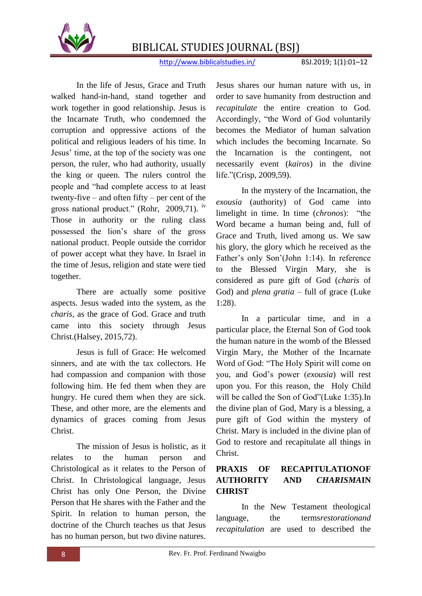

http://www.biblicalstudies.in/ BSJ.2019; 1(1):01-12

In the life of Jesus, Grace and Truth walked hand-in-hand, stand together and work together in good relationship. Jesus is the Incarnate Truth, who condemned the corruption and oppressive actions of the political and religious leaders of his time. In Jesus" time, at the top of the society was one person, the ruler, who had authority, usually the king or queen. The rulers control the people and "had complete access to at least twenty-five – and often fifty – per cent of the gross national product." (Rohr, 2009,71). iv Those in authority or the ruling class possessed the lion"s share of the gross national product. People outside the corridor of power accept what they have. In Israel in the time of Jesus, religion and state were tied together.

There are actually some positive aspects. Jesus waded into the system, as the *charis*, as the grace of God. Grace and truth came into this society through Jesus Christ.(Halsey, 2015,72).

Jesus is full of Grace: He welcomed sinners, and ate with the tax collectors. He had compassion and companion with those following him. He fed them when they are hungry. He cured them when they are sick. These, and other more, are the elements and dynamics of graces coming from Jesus Christ.

The mission of Jesus is holistic, as it relates to the human person and Christological as it relates to the Person of Christ. In Christological language, Jesus Christ has only One Person, the Divine Person that He shares with the Father and the Spirit. In relation to human person, the doctrine of the Church teaches us that Jesus has no human person, but two divine natures.

Jesus shares our human nature with us, in order to save humanity from destruction and *recapitulate* the entire creation to God. Accordingly, "the Word of God voluntarily becomes the Mediator of human salvation which includes the becoming Incarnate. So the Incarnation is the contingent, not necessarily event (*kairos*) in the divine life."(Crisp, 2009,59).

In the mystery of the Incarnation, the *exousia* (authority) of God came into limelight in time. In time (*chronos*): "the Word became a human being and, full of Grace and Truth, lived among us. We saw his glory, the glory which he received as the Father's only Son'(John 1:14). In reference to the Blessed Virgin Mary, she is considered as pure gift of God (*charis* of God) and *plena gratia* – full of grace (Luke 1:28).

In a particular time, and in a particular place, the Eternal Son of God took the human nature in the womb of the Blessed Virgin Mary, the Mother of the Incarnate Word of God: "The Holy Spirit will come on you, and God"s power (*exousia*) will rest upon you. For this reason, the Holy Child will be called the Son of God"(Luke 1:35).In the divine plan of God, Mary is a blessing, a pure gift of God within the mystery of Christ. Mary is included in the divine plan of God to restore and recapitulate all things in Christ.

#### **PRAXIS OF RECAPITULATIONOF AUTHORITY AND** *CHARISMA***IN CHRIST**

In the New Testament theological language, the terms*restorationand recapitulation* are used to described the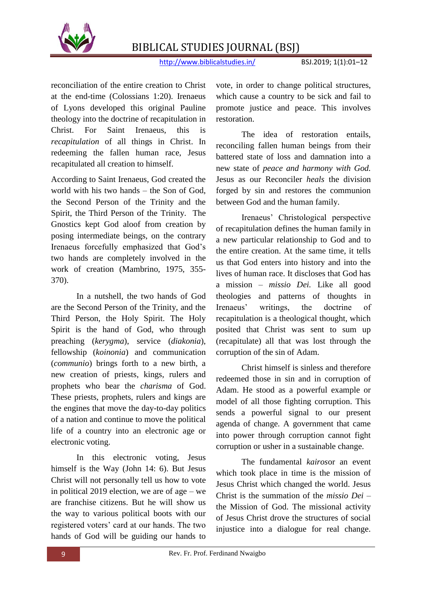

http://www.biblicalstudies.in/ BSJ.2019; 1(1):01-12

reconciliation of the entire creation to Christ at the end-time (Colossians 1:20). Irenaeus of Lyons developed this original Pauline theology into the doctrine of recapitulation in Christ. For Saint Irenaeus, this is *recapitulation* of all things in Christ. In redeeming the fallen human race, Jesus recapitulated all creation to himself.

According to Saint Irenaeus, God created the world with his two hands – the Son of God, the Second Person of the Trinity and the Spirit, the Third Person of the Trinity. The Gnostics kept God aloof from creation by posing intermediate beings, on the contrary Irenaeus forcefully emphasized that God"s two hands are completely involved in the work of creation (Mambrino, 1975, 355- 370).

In a nutshell, the two hands of God are the Second Person of the Trinity, and the Third Person, the Holy Spirit. The Holy Spirit is the hand of God, who through preaching (*kerygma*), service (*diakonia*), fellowship (*koinonia*) and communication (*communio*) brings forth to a new birth, a new creation of priests, kings, rulers and prophets who bear the *charisma* of God. These priests, prophets, rulers and kings are the engines that move the day-to-day politics of a nation and continue to move the political life of a country into an electronic age or electronic voting.

In this electronic voting, Jesus himself is the Way (John 14: 6). But Jesus Christ will not personally tell us how to vote in political 2019 election, we are of age – we are franchise citizens. But he will show us the way to various political boots with our registered voters" card at our hands. The two hands of God will be guiding our hands to

vote, in order to change political structures, which cause a country to be sick and fail to promote justice and peace. This involves restoration.

The idea of restoration entails, reconciling fallen human beings from their battered state of loss and damnation into a new state of *peace and harmony with God.* Jesus as our Reconciler *heals* the division forged by sin and restores the communion between God and the human family.

Irenaeus" Christological perspective of recapitulation defines the human family in a new particular relationship to God and to the entire creation. At the same time, it tells us that God enters into history and into the lives of human race. It discloses that God has a mission – *missio Dei.* Like all good theologies and patterns of thoughts in Irenaeus" writings, the doctrine of recapitulation is a theological thought, which posited that Christ was sent to sum up (recapitulate) all that was lost through the corruption of the sin of Adam.

Christ himself is sinless and therefore redeemed those in sin and in corruption of Adam. He stood as a powerful example or model of all those fighting corruption. This sends a powerful signal to our present agenda of change. A government that came into power through corruption cannot fight corruption or usher in a sustainable change.

The fundamental *kairos*or an event which took place in time is the mission of Jesus Christ which changed the world. Jesus Christ is the summation of the *missio Dei* – the Mission of God. The missional activity of Jesus Christ drove the structures of social injustice into a dialogue for real change.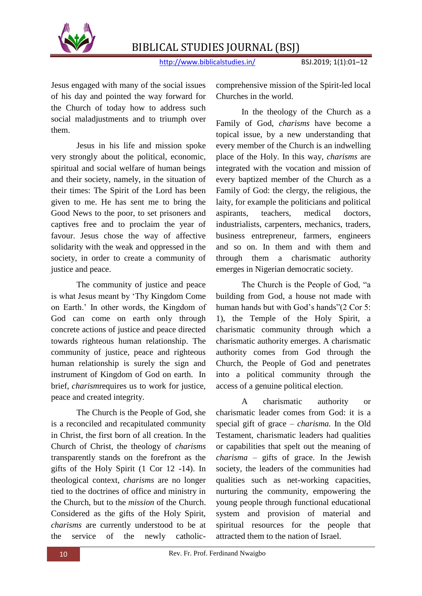

http://www.biblicalstudies.in/ BSJ.2019; 1(1):01-12

Jesus engaged with many of the social issues of his day and pointed the way forward for the Church of today how to address such social maladjustments and to triumph over them.

Jesus in his life and mission spoke very strongly about the political, economic, spiritual and social welfare of human beings and their society, namely, in the situation of their times: The Spirit of the Lord has been given to me. He has sent me to bring the Good News to the poor, to set prisoners and captives free and to proclaim the year of favour. Jesus chose the way of affective solidarity with the weak and oppressed in the society, in order to create a community of justice and peace.

The community of justice and peace is what Jesus meant by "Thy Kingdom Come on Earth." In other words, the Kingdom of God can come on earth only through concrete actions of justice and peace directed towards righteous human relationship. The community of justice, peace and righteous human relationship is surely the sign and instrument of Kingdom of God on earth. In brief, *charism*requires us to work for justice, peace and created integrity.

The Church is the People of God, she is a reconciled and recapitulated community in Christ, the first born of all creation. In the Church of Christ, the theology of *charisms* transparently stands on the forefront as the gifts of the Holy Spirit (1 Cor 12 -14). In theological context, *charisms* are no longer tied to the doctrines of office and ministry in the Church, but to the *mission* of the Church. Considered as the gifts of the Holy Spirit, *charisms* are currently understood to be at the service of the newly catholiccomprehensive mission of the Spirit-led local Churches in the world.

In the theology of the Church as a Family of God, *charisms* have become a topical issue, by a new understanding that every member of the Church is an indwelling place of the Holy. In this way, *charisms* are integrated with the vocation and mission of every baptized member of the Church as a Family of God: the clergy, the religious, the laity, for example the politicians and political aspirants, teachers, medical doctors, industrialists, carpenters, mechanics, traders, business entrepreneur, farmers, engineers and so on. In them and with them and through them a charismatic authority emerges in Nigerian democratic society.

The Church is the People of God, "a building from God, a house not made with human hands but with God's hands"(2 Cor 5: 1), the Temple of the Holy Spirit, a charismatic community through which a charismatic authority emerges. A charismatic authority comes from God through the Church, the People of God and penetrates into a political community through the access of a genuine political election.

A charismatic authority or charismatic leader comes from God: it is a special gift of grace – *charisma.* In the Old Testament, charismatic leaders had qualities or capabilities that spelt out the meaning of *charisma* – gifts of grace. In the Jewish society, the leaders of the communities had qualities such as net-working capacities, nurturing the community, empowering the young people through functional educational system and provision of material and spiritual resources for the people that attracted them to the nation of Israel.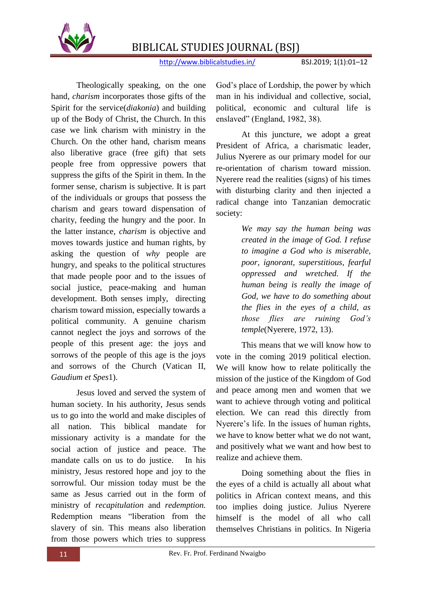

http://www.biblicalstudies.in/ BSJ.2019; 1(1):01-12

Theologically speaking, on the one hand, *charism* incorporates those gifts of the Spirit for the service(*diakonia*) and building up of the Body of Christ, the Church. In this case we link charism with ministry in the Church. On the other hand, charism means also liberative grace (free gift) that sets people free from oppressive powers that suppress the gifts of the Spirit in them. In the former sense, charism is subjective. It is part of the individuals or groups that possess the charism and gears toward dispensation of charity, feeding the hungry and the poor. In the latter instance, *charism* is objective and moves towards justice and human rights, by asking the question of *why* people are hungry, and speaks to the political structures that made people poor and to the issues of social justice, peace-making and human development. Both senses imply, directing charism toward mission, especially towards a political community. A genuine charism cannot neglect the joys and sorrows of the people of this present age: the joys and sorrows of the people of this age is the joys and sorrows of the Church (Vatican II, *Gaudium et Spes*1).

Jesus loved and served the system of human society. In his authority, Jesus sends us to go into the world and make disciples of all nation. This biblical mandate for missionary activity is a mandate for the social action of justice and peace. The mandate calls on us to do justice. In his ministry, Jesus restored hope and joy to the sorrowful. Our mission today must be the same as Jesus carried out in the form of ministry of *recapitulation* and *redemption.* Redemption means "liberation from the slavery of sin. This means also liberation from those powers which tries to suppress

God"s place of Lordship, the power by which man in his individual and collective, social, political, economic and cultural life is enslaved" (England, 1982, 38).

At this juncture, we adopt a great President of Africa, a charismatic leader, Julius Nyerere as our primary model for our re-orientation of charism toward mission. Nyerere read the realities (signs) of his times with disturbing clarity and then injected a radical change into Tanzanian democratic society:

> *We may say the human being was created in the image of God. I refuse to imagine a God who is miserable, poor, ignorant, superstitious, fearful oppressed and wretched. If the human being is really the image of God, we have to do something about the flies in the eyes of a child, as those flies are ruining God's temple*(Nyerere, 1972, 13).

This means that we will know how to vote in the coming 2019 political election. We will know how to relate politically the mission of the justice of the Kingdom of God and peace among men and women that we want to achieve through voting and political election. We can read this directly from Nyerere"s life. In the issues of human rights, we have to know better what we do not want, and positively what we want and how best to realize and achieve them.

Doing something about the flies in the eyes of a child is actually all about what politics in African context means, and this too implies doing justice. Julius Nyerere himself is the model of all who call themselves Christians in politics. In Nigeria